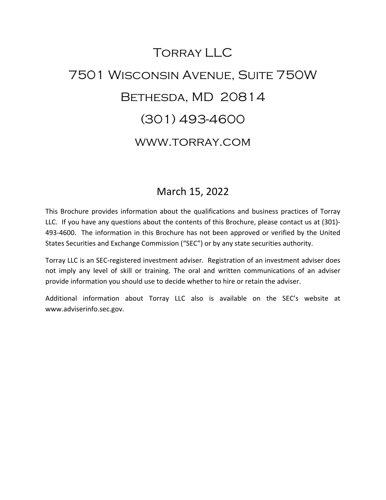# Torray LLC 7501 Wisconsin Avenue, Suite 750W Bethesda, MD 20814 (301) 493-4600 www.torray.com

## March 15, 2022

This Brochure provides information about the qualifications and business practices of Torray LLC. If you have any questions about the contents of this Brochure, please contact us at (301)- 493-4600. The information in this Brochure has not been approved or verified by the United States Securities and Exchange Commission ("SEC") or by any state securities authority.

Torray LLC is an SEC-registered investment adviser. Registration of an investment adviser does not imply any level of skill or training. The oral and written communications of an adviser provide information you should use to decide whether to hire or retain the adviser.

Additional information about Torray LLC also is available on the SEC's website at www.adviserinfo.sec.gov.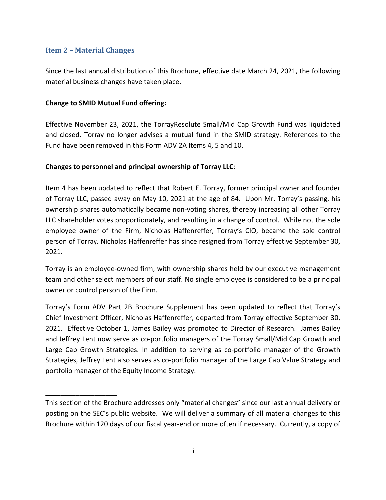#### <span id="page-1-0"></span>**Item 2 – Material Changes**

\_\_\_\_\_\_\_\_\_\_\_\_\_\_\_\_\_\_\_

Since the last annual distribution of this Brochure, effective date March 24, 2021, the following material business changes have taken place.

#### **Change to SMID Mutual Fund offering:**

Effective November 23, 2021, the TorrayResolute Small/Mid Cap Growth Fund was liquidated and closed. Torray no longer advises a mutual fund in the SMID strategy. References to the Fund have been removed in this Form ADV 2A Items 4, 5 and 10.

#### **Changes to personnel and principal ownership of Torray LLC**:

Item 4 has been updated to reflect that Robert E. Torray, former principal owner and founder of Torray LLC, passed away on May 10, 2021 at the age of 84. Upon Mr. Torray's passing, his ownership shares automatically became non-voting shares, thereby increasing all other Torray LLC shareholder votes proportionately, and resulting in a change of control. While not the sole employee owner of the Firm, Nicholas Haffenreffer, Torray's CIO, became the sole control person of Torray. Nicholas Haffenreffer has since resigned from Torray effective September 30, 2021.

Torray is an employee-owned firm, with ownership shares held by our executive management team and other select members of our staff. No single employee is considered to be a principal owner or control person of the Firm.

Torray's Form ADV Part 2B Brochure Supplement has been updated to reflect that Torray's Chief Investment Officer, Nicholas Haffenreffer, departed from Torray effective September 30, 2021. Effective October 1, James Bailey was promoted to Director of Research. James Bailey and Jeffrey Lent now serve as co-portfolio managers of the Torray Small/Mid Cap Growth and Large Cap Growth Strategies. In addition to serving as co-portfolio manager of the Growth Strategies, Jeffrey Lent also serves as co-portfolio manager of the Large Cap Value Strategy and portfolio manager of the Equity Income Strategy.

This section of the Brochure addresses only "material changes" since our last annual delivery or posting on the SEC's public website. We will deliver a summary of all material changes to this Brochure within 120 days of our fiscal year-end or more often if necessary. Currently, a copy of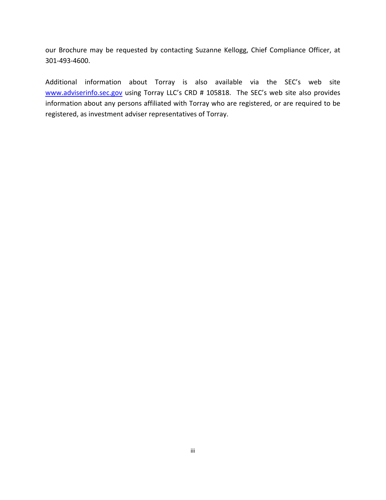our Brochure may be requested by contacting Suzanne Kellogg, Chief Compliance Officer, at 301-493-4600.

Additional information about Torray is also available via the SEC's web site [www.adviserinfo.sec.gov](http://www.adviserinfo.sec.gov/) using Torray LLC's CRD # 105818. The SEC's web site also provides information about any persons affiliated with Torray who are registered, or are required to be registered, as investment adviser representatives of Torray.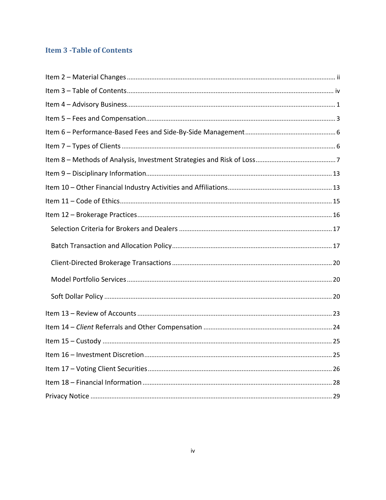### <span id="page-3-0"></span>**Item 3 - Table of Contents**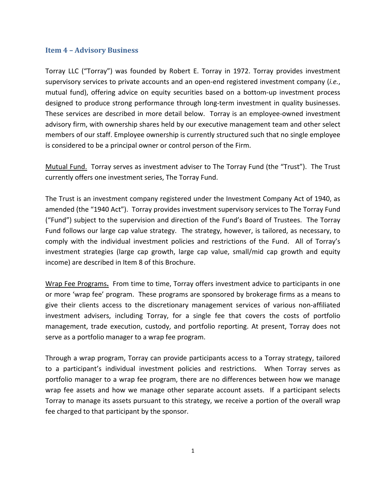#### <span id="page-4-0"></span>**Item 4 – Advisory Business**

Torray LLC ("Torray") was founded by Robert E. Torray in 1972. Torray provides investment supervisory services to private accounts and an open-end registered investment company (*i.e.*, mutual fund), offering advice on equity securities based on a bottom-up investment process designed to produce strong performance through long-term investment in quality businesses. These services are described in more detail below. Torray is an employee-owned investment advisory firm, with ownership shares held by our executive management team and other select members of our staff. Employee ownership is currently structured such that no single employee is considered to be a principal owner or control person of the Firm.

Mutual Fund. Torray serves as investment adviser to The Torray Fund (the "Trust"). The Trust currently offers one investment series, The Torray Fund.

The Trust is an investment company registered under the Investment Company Act of 1940, as amended (the "1940 Act"). Torray provides investment supervisory services to The Torray Fund ("Fund") subject to the supervision and direction of the Fund's Board of Trustees. The Torray Fund follows our large cap value strategy. The strategy, however, is tailored, as necessary, to comply with the individual investment policies and restrictions of the Fund. All of Torray's investment strategies (large cap growth, large cap value, small/mid cap growth and equity income) are described in Item 8 of this Brochure.

Wrap Fee Programs**.** From time to time, Torray offers investment advice to participants in one or more 'wrap fee' program. These programs are sponsored by brokerage firms as a means to give their clients access to the discretionary management services of various non-affiliated investment advisers, including Torray, for a single fee that covers the costs of portfolio management, trade execution, custody, and portfolio reporting. At present, Torray does not serve as a portfolio manager to a wrap fee program.

Through a wrap program, Torray can provide participants access to a Torray strategy, tailored to a participant's individual investment policies and restrictions. When Torray serves as portfolio manager to a wrap fee program, there are no differences between how we manage wrap fee assets and how we manage other separate account assets. If a participant selects Torray to manage its assets pursuant to this strategy, we receive a portion of the overall wrap fee charged to that participant by the sponsor.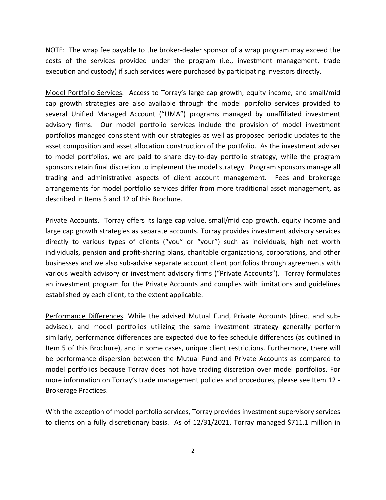NOTE: The wrap fee payable to the broker-dealer sponsor of a wrap program may exceed the costs of the services provided under the program (i.e., investment management, trade execution and custody) if such services were purchased by participating investors directly.

Model Portfolio Services. Access to Torray's large cap growth, equity income, and small/mid cap growth strategies are also available through the model portfolio services provided to several Unified Managed Account ("UMA") programs managed by unaffiliated investment advisory firms. Our model portfolio services include the provision of model investment portfolios managed consistent with our strategies as well as proposed periodic updates to the asset composition and asset allocation construction of the portfolio. As the investment adviser to model portfolios, we are paid to share day-to-day portfolio strategy, while the program sponsors retain final discretion to implement the model strategy. Program sponsors manage all trading and administrative aspects of client account management. Fees and brokerage arrangements for model portfolio services differ from more traditional asset management, as described in Items 5 and 12 of this Brochure.

Private Accounts. Torray offers its large cap value, small/mid cap growth, equity income and large cap growth strategies as separate accounts. Torray provides investment advisory services directly to various types of clients ("you" or "your") such as individuals, high net worth individuals, pension and profit-sharing plans, charitable organizations, corporations, and other businesses and we also sub-advise separate account client portfolios through agreements with various wealth advisory or investment advisory firms ("Private Accounts"). Torray formulates an investment program for the Private Accounts and complies with limitations and guidelines established by each client, to the extent applicable.

Performance Differences. While the advised Mutual Fund, Private Accounts (direct and subadvised), and model portfolios utilizing the same investment strategy generally perform similarly, performance differences are expected due to fee schedule differences (as outlined in Item 5 of this Brochure), and in some cases, unique client restrictions. Furthermore, there will be performance dispersion between the Mutual Fund and Private Accounts as compared to model portfolios because Torray does not have trading discretion over model portfolios. For more information on Torray's trade management policies and procedures, please see Item 12 - Brokerage Practices.

With the exception of model portfolio services, Torray provides investment supervisory services to clients on a fully discretionary basis. As of 12/31/2021, Torray managed \$711.1 million in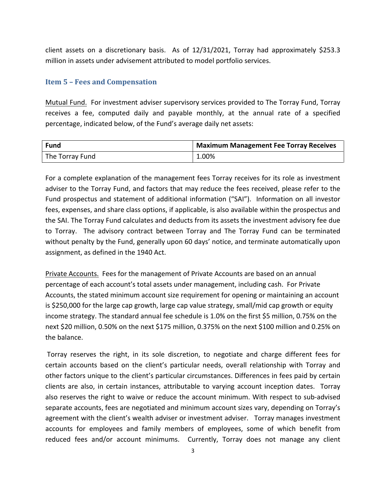<span id="page-6-0"></span>client assets on a discretionary basis. As of 12/31/2021, Torray had approximately \$253.3 million in assets under advisement attributed to model portfolio services.

#### **Item 5 – Fees and Compensation**

Mutual Fund. For investment adviser supervisory services provided to The Torray Fund, Torray receives a fee, computed daily and payable monthly, at the annual rate of a specified percentage, indicated below, of the Fund's average daily net assets:

| <b>Fund</b>     | Maximum Management Fee Torray Receives |
|-----------------|----------------------------------------|
| The Torray Fund | 1.00%                                  |

For a complete explanation of the management fees Torray receives for its role as investment adviser to the Torray Fund, and factors that may reduce the fees received, please refer to the Fund prospectus and statement of additional information ("SAI"). Information on all investor fees, expenses, and share class options, if applicable, is also available within the prospectus and the SAI. The Torray Fund calculates and deducts from its assets the investment advisory fee due to Torray. The advisory contract between Torray and The Torray Fund can be terminated without penalty by the Fund, generally upon 60 days' notice, and terminate automatically upon assignment, as defined in the 1940 Act.

Private Accounts. Fees for the management of Private Accounts are based on an annual percentage of each account's total assets under management, including cash. For Private Accounts, the stated minimum account size requirement for opening or maintaining an account is \$250,000 for the large cap growth, large cap value strategy, small/mid cap growth or equity income strategy. The standard annual fee schedule is 1.0% on the first \$5 million, 0.75% on the next \$20 million, 0.50% on the next \$175 million, 0.375% on the next \$100 million and 0.25% on the balance.

Torray reserves the right, in its sole discretion, to negotiate and charge different fees for certain accounts based on the client's particular needs, overall relationship with Torray and other factors unique to the client's particular circumstances. Differences in fees paid by certain clients are also, in certain instances, attributable to varying account inception dates. Torray also reserves the right to waive or reduce the account minimum. With respect to sub-advised separate accounts, fees are negotiated and minimum account sizes vary, depending on Torray's agreement with the client's wealth adviser or investment adviser. Torray manages investment accounts for employees and family members of employees, some of which benefit from reduced fees and/or account minimums. Currently, Torray does not manage any client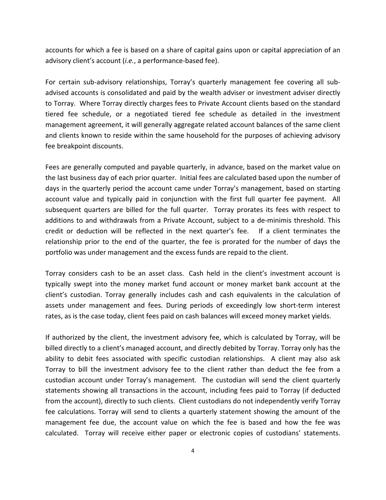accounts for which a fee is based on a share of capital gains upon or capital appreciation of an advisory client's account (*i.e.*, a performance-based fee).

For certain sub-advisory relationships, Torray's quarterly management fee covering all subadvised accounts is consolidated and paid by the wealth adviser or investment adviser directly to Torray. Where Torray directly charges fees to Private Account clients based on the standard tiered fee schedule, or a negotiated tiered fee schedule as detailed in the investment management agreement, it will generally aggregate related account balances of the same client and clients known to reside within the same household for the purposes of achieving advisory fee breakpoint discounts.

Fees are generally computed and payable quarterly, in advance, based on the market value on the last business day of each prior quarter. Initial fees are calculated based upon the number of days in the quarterly period the account came under Torray's management, based on starting account value and typically paid in conjunction with the first full quarter fee payment. All subsequent quarters are billed for the full quarter. Torray prorates its fees with respect to additions to and withdrawals from a Private Account, subject to a de-minimis threshold. This credit or deduction will be reflected in the next quarter's fee. If a client terminates the relationship prior to the end of the quarter, the fee is prorated for the number of days the portfolio was under management and the excess funds are repaid to the client.

Torray considers cash to be an asset class. Cash held in the client's investment account is typically swept into the money market fund account or money market bank account at the client's custodian. Torray generally includes cash and cash equivalents in the calculation of assets under management and fees. During periods of exceedingly low short-term interest rates, as is the case today, client fees paid on cash balances will exceed money market yields.

If authorized by the client, the investment advisory fee, which is calculated by Torray, will be billed directly to a client's managed account, and directly debited by Torray. Torray only has the ability to debit fees associated with specific custodian relationships. A client may also ask Torray to bill the investment advisory fee to the client rather than deduct the fee from a custodian account under Torray's management. The custodian will send the client quarterly statements showing all transactions in the account, including fees paid to Torray (if deducted from the account), directly to such clients. Client custodians do not independently verify Torray fee calculations. Torray will send to clients a quarterly statement showing the amount of the management fee due, the account value on which the fee is based and how the fee was calculated. Torray will receive either paper or electronic copies of custodians' statements.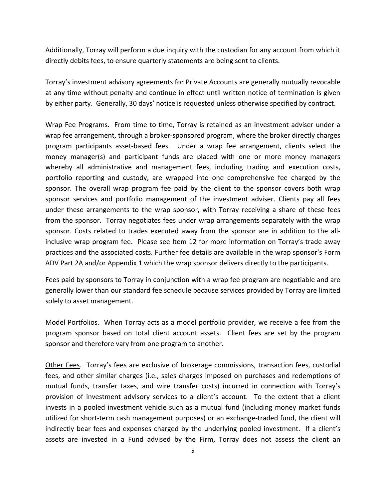Additionally, Torray will perform a due inquiry with the custodian for any account from which it directly debits fees, to ensure quarterly statements are being sent to clients.

Torray's investment advisory agreements for Private Accounts are generally mutually revocable at any time without penalty and continue in effect until written notice of termination is given by either party. Generally, 30 days' notice is requested unless otherwise specified by contract.

Wrap Fee Programs. From time to time, Torray is retained as an investment adviser under a wrap fee arrangement, through a broker-sponsored program, where the broker directly charges program participants asset-based fees. Under a wrap fee arrangement, clients select the money manager(s) and participant funds are placed with one or more money managers whereby all administrative and management fees, including trading and execution costs, portfolio reporting and custody, are wrapped into one comprehensive fee charged by the sponsor. The overall wrap program fee paid by the client to the sponsor covers both wrap sponsor services and portfolio management of the investment adviser. Clients pay all fees under these arrangements to the wrap sponsor, with Torray receiving a share of these fees from the sponsor. Torray negotiates fees under wrap arrangements separately with the wrap sponsor. Costs related to trades executed away from the sponsor are in addition to the allinclusive wrap program fee. Please see Item 12 for more information on Torray's trade away practices and the associated costs. Further fee details are available in the wrap sponsor's Form ADV Part 2A and/or Appendix 1 which the wrap sponsor delivers directly to the participants.

Fees paid by sponsors to Torray in conjunction with a wrap fee program are negotiable and are generally lower than our standard fee schedule because services provided by Torray are limited solely to asset management.

Model Portfolios. When Torray acts as a model portfolio provider, we receive a fee from the program sponsor based on total client account assets. Client fees are set by the program sponsor and therefore vary from one program to another.

Other Fees. Torray's fees are exclusive of brokerage commissions, transaction fees, custodial fees, and other similar charges (i.e., sales charges imposed on purchases and redemptions of mutual funds, transfer taxes, and wire transfer costs) incurred in connection with Torray's provision of investment advisory services to a client's account. To the extent that a client invests in a pooled investment vehicle such as a mutual fund (including money market funds utilized for short-term cash management purposes) or an exchange-traded fund, the client will indirectly bear fees and expenses charged by the underlying pooled investment. If a client's assets are invested in a Fund advised by the Firm, Torray does not assess the client an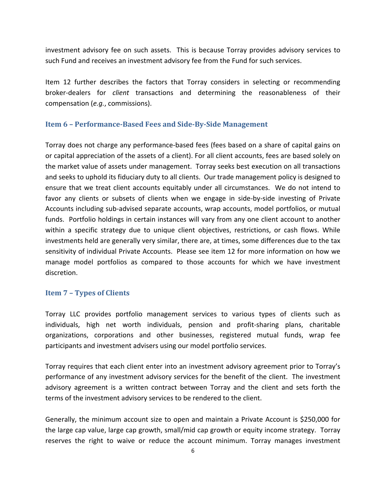investment advisory fee on such assets. This is because Torray provides advisory services to such Fund and receives an investment advisory fee from the Fund for such services.

Item 12 further describes the factors that Torray considers in selecting or recommending broker-dealers for *client* transactions and determining the reasonableness of their compensation (*e.g.*, commissions).

#### <span id="page-9-0"></span>**Item 6 – Performance-Based Fees and Side-By-Side Management**

Torray does not charge any performance-based fees (fees based on a share of capital gains on or capital appreciation of the assets of a client). For all client accounts, fees are based solely on the market value of assets under management. Torray seeks best execution on all transactions and seeks to uphold its fiduciary duty to all clients. Our trade management policy is designed to ensure that we treat client accounts equitably under all circumstances. We do not intend to favor any clients or subsets of clients when we engage in side-by-side investing of Private Accounts including sub-advised separate accounts, wrap accounts, model portfolios, or mutual funds. Portfolio holdings in certain instances will vary from any one client account to another within a specific strategy due to unique client objectives, restrictions, or cash flows. While investments held are generally very similar, there are, at times, some differences due to the tax sensitivity of individual Private Accounts. Please see item 12 for more information on how we manage model portfolios as compared to those accounts for which we have investment discretion.

#### <span id="page-9-1"></span>**Item 7 – Types of Clients**

Torray LLC provides portfolio management services to various types of clients such as individuals, high net worth individuals, pension and profit-sharing plans, charitable organizations, corporations and other businesses, registered mutual funds, wrap fee participants and investment advisers using our model portfolio services.

Torray requires that each client enter into an investment advisory agreement prior to Torray's performance of any investment advisory services for the benefit of the client. The investment advisory agreement is a written contract between Torray and the client and sets forth the terms of the investment advisory services to be rendered to the client.

Generally, the minimum account size to open and maintain a Private Account is \$250,000 for the large cap value, large cap growth, small/mid cap growth or equity income strategy. Torray reserves the right to waive or reduce the account minimum. Torray manages investment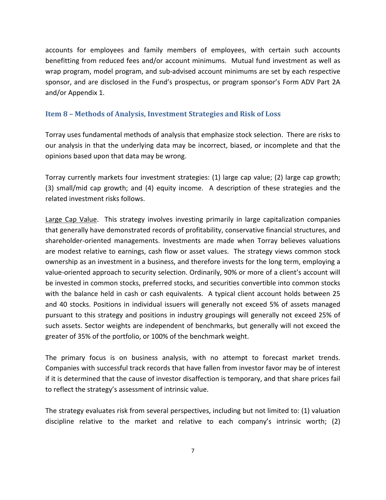accounts for employees and family members of employees, with certain such accounts benefitting from reduced fees and/or account minimums. Mutual fund investment as well as wrap program, model program, and sub-advised account minimums are set by each respective sponsor, and are disclosed in the Fund's prospectus, or program sponsor's Form ADV Part 2A and/or Appendix 1.

#### <span id="page-10-0"></span>**Item 8 – Methods of Analysis, Investment Strategies and Risk of Loss**

Torray uses fundamental methods of analysis that emphasize stock selection. There are risks to our analysis in that the underlying data may be incorrect, biased, or incomplete and that the opinions based upon that data may be wrong.

Torray currently markets four investment strategies: (1) large cap value; (2) large cap growth; (3) small/mid cap growth; and (4) equity income. A description of these strategies and the related investment risks follows.

Large Cap Value. This strategy involves investing primarily in large capitalization companies that generally have demonstrated records of profitability, conservative financial structures, and shareholder-oriented managements. Investments are made when Torray believes valuations are modest relative to earnings, cash flow or asset values. The strategy views common stock ownership as an investment in a business, and therefore invests for the long term, employing a value-oriented approach to security selection. Ordinarily, 90% or more of a client's account will be invested in common stocks, preferred stocks, and securities convertible into common stocks with the balance held in cash or cash equivalents. A typical client account holds between 25 and 40 stocks. Positions in individual issuers will generally not exceed 5% of assets managed pursuant to this strategy and positions in industry groupings will generally not exceed 25% of such assets. Sector weights are independent of benchmarks, but generally will not exceed the greater of 35% of the portfolio, or 100% of the benchmark weight.

The primary focus is on business analysis, with no attempt to forecast market trends. Companies with successful track records that have fallen from investor favor may be of interest if it is determined that the cause of investor disaffection is temporary, and that share prices fail to reflect the strategy's assessment of intrinsic value.

The strategy evaluates risk from several perspectives, including but not limited to: (1) valuation discipline relative to the market and relative to each company's intrinsic worth; (2)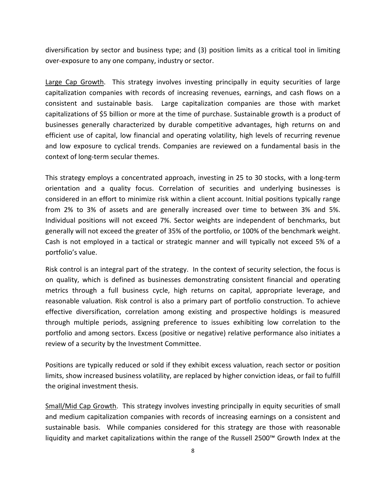diversification by sector and business type; and (3) position limits as a critical tool in limiting over-exposure to any one company, industry or sector.

Large Cap Growth. This strategy involves investing principally in equity securities of large capitalization companies with records of increasing revenues, earnings, and cash flows on a consistent and sustainable basis. Large capitalization companies are those with market capitalizations of \$5 billion or more at the time of purchase. Sustainable growth is a product of businesses generally characterized by durable competitive advantages, high returns on and efficient use of capital, low financial and operating volatility, high levels of recurring revenue and low exposure to cyclical trends. Companies are reviewed on a fundamental basis in the context of long-term secular themes.

This strategy employs a concentrated approach, investing in 25 to 30 stocks, with a long-term orientation and a quality focus. Correlation of securities and underlying businesses is considered in an effort to minimize risk within a client account. Initial positions typically range from 2% to 3% of assets and are generally increased over time to between 3% and 5%. Individual positions will not exceed 7%. Sector weights are independent of benchmarks, but generally will not exceed the greater of 35% of the portfolio, or 100% of the benchmark weight. Cash is not employed in a tactical or strategic manner and will typically not exceed 5% of a portfolio's value.

Risk control is an integral part of the strategy. In the context of security selection, the focus is on quality, which is defined as businesses demonstrating consistent financial and operating metrics through a full business cycle, high returns on capital, appropriate leverage, and reasonable valuation. Risk control is also a primary part of portfolio construction. To achieve effective diversification, correlation among existing and prospective holdings is measured through multiple periods, assigning preference to issues exhibiting low correlation to the portfolio and among sectors. Excess (positive or negative) relative performance also initiates a review of a security by the Investment Committee.

Positions are typically reduced or sold if they exhibit excess valuation, reach sector or position limits, show increased business volatility, are replaced by higher conviction ideas, or fail to fulfill the original investment thesis.

Small/Mid Cap Growth. This strategy involves investing principally in equity securities of small and medium capitalization companies with records of increasing earnings on a consistent and sustainable basis. While companies considered for this strategy are those with reasonable liquidity and market capitalizations within the range of the Russell 2500™ Growth Index at the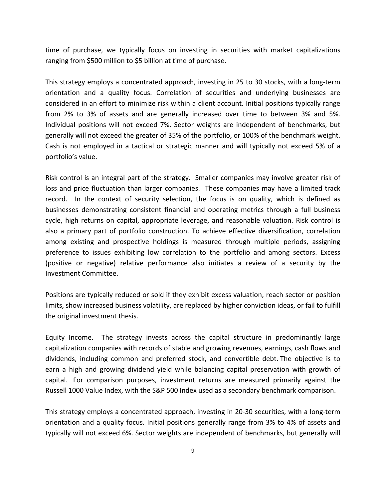time of purchase, we typically focus on investing in securities with market capitalizations ranging from \$500 million to \$5 billion at time of purchase.

This strategy employs a concentrated approach, investing in 25 to 30 stocks, with a long-term orientation and a quality focus. Correlation of securities and underlying businesses are considered in an effort to minimize risk within a client account. Initial positions typically range from 2% to 3% of assets and are generally increased over time to between 3% and 5%. Individual positions will not exceed 7%. Sector weights are independent of benchmarks, but generally will not exceed the greater of 35% of the portfolio, or 100% of the benchmark weight. Cash is not employed in a tactical or strategic manner and will typically not exceed 5% of a portfolio's value.

Risk control is an integral part of the strategy. Smaller companies may involve greater risk of loss and price fluctuation than larger companies. These companies may have a limited track record. In the context of security selection, the focus is on quality, which is defined as businesses demonstrating consistent financial and operating metrics through a full business cycle, high returns on capital, appropriate leverage, and reasonable valuation. Risk control is also a primary part of portfolio construction. To achieve effective diversification, correlation among existing and prospective holdings is measured through multiple periods, assigning preference to issues exhibiting low correlation to the portfolio and among sectors. Excess (positive or negative) relative performance also initiates a review of a security by the Investment Committee.

Positions are typically reduced or sold if they exhibit excess valuation, reach sector or position limits, show increased business volatility, are replaced by higher conviction ideas, or fail to fulfill the original investment thesis.

Equity Income. The strategy invests across the capital structure in predominantly large capitalization companies with records of stable and growing revenues, earnings, cash flows and dividends, including common and preferred stock, and convertible debt. The objective is to earn a high and growing dividend yield while balancing capital preservation with growth of capital. For comparison purposes, investment returns are measured primarily against the Russell 1000 Value Index, with the S&P 500 Index used as a secondary benchmark comparison.

This strategy employs a concentrated approach, investing in 20-30 securities, with a long-term orientation and a quality focus. Initial positions generally range from 3% to 4% of assets and typically will not exceed 6%. Sector weights are independent of benchmarks, but generally will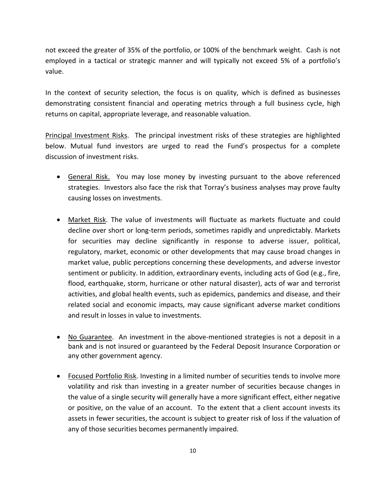not exceed the greater of 35% of the portfolio, or 100% of the benchmark weight. Cash is not employed in a tactical or strategic manner and will typically not exceed 5% of a portfolio's value.

In the context of security selection, the focus is on quality, which is defined as businesses demonstrating consistent financial and operating metrics through a full business cycle, high returns on capital, appropriate leverage, and reasonable valuation.

Principal Investment Risks. The principal investment risks of these strategies are highlighted below. Mutual fund investors are urged to read the Fund's prospectus for a complete discussion of investment risks.

- General Risk.You may lose money by investing pursuant to the above referenced strategies. Investors also face the risk that Torray's business analyses may prove faulty causing losses on investments.
- Market Risk. The value of investments will fluctuate as markets fluctuate and could decline over short or long-term periods, sometimes rapidly and unpredictably. Markets for securities may decline significantly in response to adverse issuer, political, regulatory, market, economic or other developments that may cause broad changes in market value, public perceptions concerning these developments, and adverse investor sentiment or publicity. In addition, extraordinary events, including acts of God (e.g., fire, flood, earthquake, storm, hurricane or other natural disaster), acts of war and terrorist activities, and global health events, such as epidemics, pandemics and disease, and their related social and economic impacts, may cause significant adverse market conditions and result in losses in value to investments.
- No Guarantee. An investment in the above-mentioned strategies is not a deposit in a bank and is not insured or guaranteed by the Federal Deposit Insurance Corporation or any other government agency.
- Focused Portfolio Risk. Investing in a limited number of securities tends to involve more volatility and risk than investing in a greater number of securities because changes in the value of a single security will generally have a more significant effect, either negative or positive, on the value of an account. To the extent that a client account invests its assets in fewer securities, the account is subject to greater risk of loss if the valuation of any of those securities becomes permanently impaired.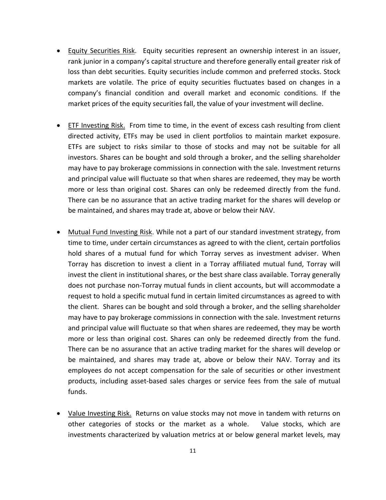- Equity Securities Risk. Equity securities represent an ownership interest in an issuer, rank junior in a company's capital structure and therefore generally entail greater risk of loss than debt securities. Equity securities include common and preferred stocks. Stock markets are volatile. The price of equity securities fluctuates based on changes in a company's financial condition and overall market and economic conditions. If the market prices of the equity securities fall, the value of your investment will decline.
- ETF Investing Risk. From time to time, in the event of excess cash resulting from client directed activity, ETFs may be used in client portfolios to maintain market exposure. ETFs are subject to risks similar to those of stocks and may not be suitable for all investors. Shares can be bought and sold through a broker, and the selling shareholder may have to pay brokerage commissions in connection with the sale. Investment returns and principal value will fluctuate so that when shares are redeemed, they may be worth more or less than original cost. Shares can only be redeemed directly from the fund. There can be no assurance that an active trading market for the shares will develop or be maintained, and shares may trade at, above or below their NAV.
- Mutual Fund Investing Risk. While not a part of our standard investment strategy, from time to time, under certain circumstances as agreed to with the client, certain portfolios hold shares of a mutual fund for which Torray serves as investment adviser. When Torray has discretion to invest a client in a Torray affiliated mutual fund, Torray will invest the client in institutional shares, or the best share class available. Torray generally does not purchase non-Torray mutual funds in client accounts, but will accommodate a request to hold a specific mutual fund in certain limited circumstances as agreed to with the client. Shares can be bought and sold through a broker, and the selling shareholder may have to pay brokerage commissions in connection with the sale. Investment returns and principal value will fluctuate so that when shares are redeemed, they may be worth more or less than original cost. Shares can only be redeemed directly from the fund. There can be no assurance that an active trading market for the shares will develop or be maintained, and shares may trade at, above or below their NAV. Torray and its employees do not accept compensation for the sale of securities or other investment products, including asset-based sales charges or service fees from the sale of mutual funds.
- Value Investing Risk. Returns on value stocks may not move in tandem with returns on other categories of stocks or the market as a whole. Value stocks, which are investments characterized by valuation metrics at or below general market levels, may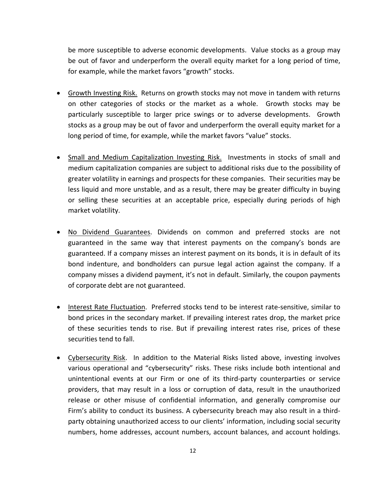be more susceptible to adverse economic developments. Value stocks as a group may be out of favor and underperform the overall equity market for a long period of time, for example, while the market favors "growth" stocks.

- Growth Investing Risk. Returns on growth stocks may not move in tandem with returns on other categories of stocks or the market as a whole. Growth stocks may be particularly susceptible to larger price swings or to adverse developments. Growth stocks as a group may be out of favor and underperform the overall equity market for a long period of time, for example, while the market favors "value" stocks.
- Small and Medium Capitalization Investing Risk. Investments in stocks of small and medium capitalization companies are subject to additional risks due to the possibility of greater volatility in earnings and prospects for these companies. Their securities may be less liquid and more unstable, and as a result, there may be greater difficulty in buying or selling these securities at an acceptable price, especially during periods of high market volatility.
- No Dividend Guarantees. Dividends on common and preferred stocks are not guaranteed in the same way that interest payments on the company's bonds are guaranteed. If a company misses an interest payment on its bonds, it is in default of its bond indenture, and bondholders can pursue legal action against the company. If a company misses a dividend payment, it's not in default. Similarly, the coupon payments of corporate debt are not guaranteed.
- Interest Rate Fluctuation. Preferred stocks tend to be interest rate-sensitive, similar to bond prices in the secondary market. If prevailing interest rates drop, the market price of these securities tends to rise. But if prevailing interest rates rise, prices of these securities tend to fall.
- Cybersecurity Risk. In addition to the Material Risks listed above, investing involves various operational and "cybersecurity" risks. These risks include both intentional and unintentional events at our Firm or one of its third-party counterparties or service providers, that may result in a loss or corruption of data, result in the unauthorized release or other misuse of confidential information, and generally compromise our Firm's ability to conduct its business. A cybersecurity breach may also result in a thirdparty obtaining unauthorized access to our clients' information, including social security numbers, home addresses, account numbers, account balances, and account holdings.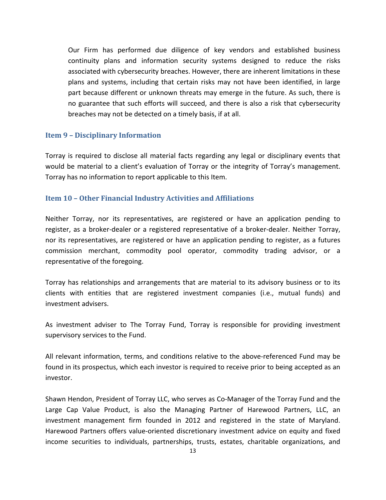Our Firm has performed due diligence of key vendors and established business continuity plans and information security systems designed to reduce the risks associated with cybersecurity breaches. However, there are inherent limitations in these plans and systems, including that certain risks may not have been identified, in large part because different or unknown threats may emerge in the future. As such, there is no guarantee that such efforts will succeed, and there is also a risk that cybersecurity breaches may not be detected on a timely basis, if at all.

#### <span id="page-16-0"></span>**Item 9 – Disciplinary Information**

Torray is required to disclose all material facts regarding any legal or disciplinary events that would be material to a client's evaluation of Torray or the integrity of Torray's management. Torray has no information to report applicable to this Item.

#### <span id="page-16-1"></span>**Item 10 – Other Financial Industry Activities and Affiliations**

Neither Torray, nor its representatives, are registered or have an application pending to register, as a broker-dealer or a registered representative of a broker-dealer. Neither Torray, nor its representatives, are registered or have an application pending to register, as a futures commission merchant, commodity pool operator, commodity trading advisor, or a representative of the foregoing.

Torray has relationships and arrangements that are material to its advisory business or to its clients with entities that are registered investment companies (i.e., mutual funds) and investment advisers.

As investment adviser to The Torray Fund, Torray is responsible for providing investment supervisory services to the Fund.

All relevant information, terms, and conditions relative to the above-referenced Fund may be found in its prospectus, which each investor is required to receive prior to being accepted as an investor.

Shawn Hendon, President of Torray LLC, who serves as Co-Manager of the Torray Fund and the Large Cap Value Product, is also the Managing Partner of Harewood Partners, LLC, an investment management firm founded in 2012 and registered in the state of Maryland. Harewood Partners offers value-oriented discretionary investment advice on equity and fixed income securities to individuals, partnerships, trusts, estates, charitable organizations, and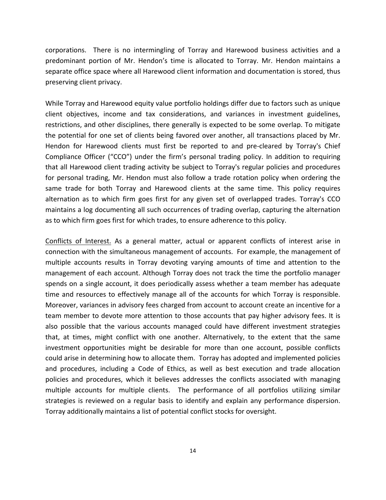corporations. There is no intermingling of Torray and Harewood business activities and a predominant portion of Mr. Hendon's time is allocated to Torray. Mr. Hendon maintains a separate office space where all Harewood client information and documentation is stored, thus preserving client privacy.

While Torray and Harewood equity value portfolio holdings differ due to factors such as unique client objectives, income and tax considerations, and variances in investment guidelines, restrictions, and other disciplines, there generally is expected to be some overlap. To mitigate the potential for one set of clients being favored over another, all transactions placed by Mr. Hendon for Harewood clients must first be reported to and pre-cleared by Torray's Chief Compliance Officer ("CCO") under the firm's personal trading policy. In addition to requiring that all Harewood client trading activity be subject to Torray's regular policies and procedures for personal trading, Mr. Hendon must also follow a trade rotation policy when ordering the same trade for both Torray and Harewood clients at the same time. This policy requires alternation as to which firm goes first for any given set of overlapped trades. Torray's CCO maintains a log documenting all such occurrences of trading overlap, capturing the alternation as to which firm goes first for which trades, to ensure adherence to this policy.

Conflicts of Interest. As a general matter, actual or apparent conflicts of interest arise in connection with the simultaneous management of accounts. For example, the management of multiple accounts results in Torray devoting varying amounts of time and attention to the management of each account. Although Torray does not track the time the portfolio manager spends on a single account, it does periodically assess whether a team member has adequate time and resources to effectively manage all of the accounts for which Torray is responsible. Moreover, variances in advisory fees charged from account to account create an incentive for a team member to devote more attention to those accounts that pay higher advisory fees. It is also possible that the various accounts managed could have different investment strategies that, at times, might conflict with one another. Alternatively, to the extent that the same investment opportunities might be desirable for more than one account, possible conflicts could arise in determining how to allocate them. Torray has adopted and implemented policies and procedures, including a Code of Ethics, as well as best execution and trade allocation policies and procedures, which it believes addresses the conflicts associated with managing multiple accounts for multiple clients. The performance of all portfolios utilizing similar strategies is reviewed on a regular basis to identify and explain any performance dispersion. Torray additionally maintains a list of potential conflict stocks for oversight.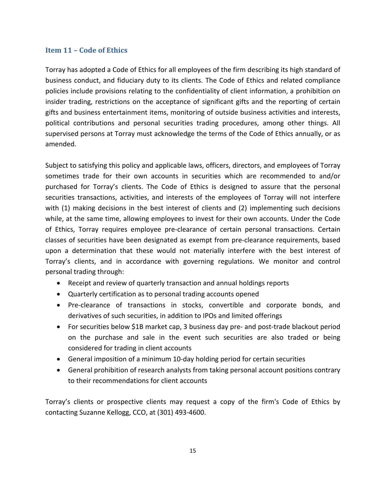#### <span id="page-18-0"></span>**Item 11 – Code of Ethics**

Torray has adopted a Code of Ethics for all employees of the firm describing its high standard of business conduct, and fiduciary duty to its clients. The Code of Ethics and related compliance policies include provisions relating to the confidentiality of client information, a prohibition on insider trading, restrictions on the acceptance of significant gifts and the reporting of certain gifts and business entertainment items, monitoring of outside business activities and interests, political contributions and personal securities trading procedures, among other things. All supervised persons at Torray must acknowledge the terms of the Code of Ethics annually, or as amended.

Subject to satisfying this policy and applicable laws, officers, directors, and employees of Torray sometimes trade for their own accounts in securities which are recommended to and/or purchased for Torray's clients. The Code of Ethics is designed to assure that the personal securities transactions, activities, and interests of the employees of Torray will not interfere with (1) making decisions in the best interest of clients and (2) implementing such decisions while, at the same time, allowing employees to invest for their own accounts. Under the Code of Ethics, Torray requires employee pre-clearance of certain personal transactions. Certain classes of securities have been designated as exempt from pre-clearance requirements, based upon a determination that these would not materially interfere with the best interest of Torray's clients, and in accordance with governing regulations. We monitor and control personal trading through:

- Receipt and review of quarterly transaction and annual holdings reports
- Quarterly certification as to personal trading accounts opened
- Pre-clearance of transactions in stocks, convertible and corporate bonds, and derivatives of such securities, in addition to IPOs and limited offerings
- For securities below \$1B market cap, 3 business day pre- and post-trade blackout period on the purchase and sale in the event such securities are also traded or being considered for trading in client accounts
- General imposition of a minimum 10-day holding period for certain securities
- General prohibition of research analysts from taking personal account positions contrary to their recommendations for client accounts

Torray's clients or prospective clients may request a copy of the firm's Code of Ethics by contacting Suzanne Kellogg, CCO, at (301) 493-4600.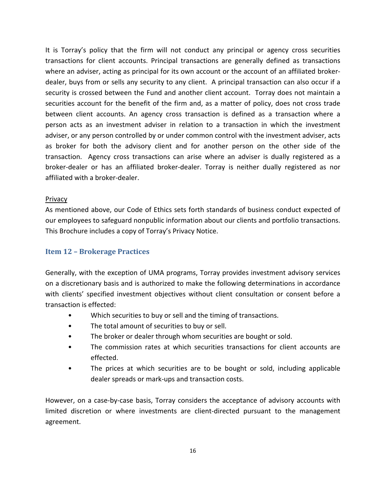It is Torray's policy that the firm will not conduct any principal or agency cross securities transactions for client accounts. Principal transactions are generally defined as transactions where an adviser, acting as principal for its own account or the account of an affiliated brokerdealer, buys from or sells any security to any client. A principal transaction can also occur if a security is crossed between the Fund and another client account. Torray does not maintain a securities account for the benefit of the firm and, as a matter of policy, does not cross trade between client accounts. An agency cross transaction is defined as a transaction where a person acts as an investment adviser in relation to a transaction in which the investment adviser, or any person controlled by or under common control with the investment adviser, acts as broker for both the advisory client and for another person on the other side of the transaction. Agency cross transactions can arise where an adviser is dually registered as a broker-dealer or has an affiliated broker-dealer. Torray is neither dually registered as nor affiliated with a broker-dealer.

#### Privacy

As mentioned above, our Code of Ethics sets forth standards of business conduct expected of our employees to safeguard nonpublic information about our clients and portfolio transactions. This Brochure includes a copy of Torray's Privacy Notice.

#### <span id="page-19-0"></span>**Item 12 – Brokerage Practices**

Generally, with the exception of UMA programs, Torray provides investment advisory services on a discretionary basis and is authorized to make the following determinations in accordance with clients' specified investment objectives without client consultation or consent before a transaction is effected:

- Which securities to buy or sell and the timing of transactions.
- The total amount of securities to buy or sell.
- The broker or dealer through whom securities are bought or sold.
- The commission rates at which securities transactions for client accounts are effected.
- The prices at which securities are to be bought or sold, including applicable dealer spreads or mark-ups and transaction costs.

However, on a case-by-case basis, Torray considers the acceptance of advisory accounts with limited discretion or where investments are client-directed pursuant to the management agreement.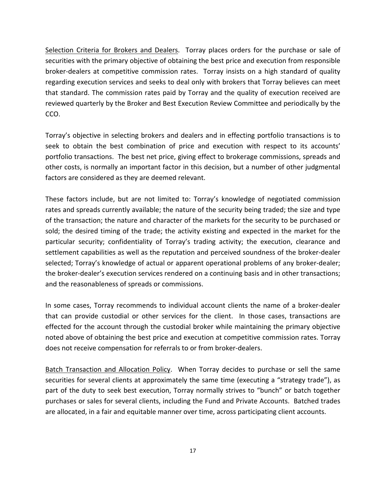<span id="page-20-0"></span>Selection Criteria for Brokers and Dealers. Torray places orders for the purchase or sale of securities with the primary objective of obtaining the best price and execution from responsible broker-dealers at competitive commission rates. Torray insists on a high standard of quality regarding execution services and seeks to deal only with brokers that Torray believes can meet that standard. The commission rates paid by Torray and the quality of execution received are reviewed quarterly by the Broker and Best Execution Review Committee and periodically by the CCO.

Torray's objective in selecting brokers and dealers and in effecting portfolio transactions is to seek to obtain the best combination of price and execution with respect to its accounts' portfolio transactions. The best net price, giving effect to brokerage commissions, spreads and other costs, is normally an important factor in this decision, but a number of other judgmental factors are considered as they are deemed relevant.

These factors include, but are not limited to: Torray's knowledge of negotiated commission rates and spreads currently available; the nature of the security being traded; the size and type of the transaction; the nature and character of the markets for the security to be purchased or sold; the desired timing of the trade; the activity existing and expected in the market for the particular security; confidentiality of Torray's trading activity; the execution, clearance and settlement capabilities as well as the reputation and perceived soundness of the broker-dealer selected; Torray's knowledge of actual or apparent operational problems of any broker-dealer; the broker-dealer's execution services rendered on a continuing basis and in other transactions; and the reasonableness of spreads or commissions.

In some cases, Torray recommends to individual account clients the name of a broker-dealer that can provide custodial or other services for the client. In those cases, transactions are effected for the account through the custodial broker while maintaining the primary objective noted above of obtaining the best price and execution at competitive commission rates. Torray does not receive compensation for referrals to or from broker-dealers.

<span id="page-20-1"></span>Batch Transaction and Allocation Policy. When Torray decides to purchase or sell the same securities for several clients at approximately the same time (executing a "strategy trade"), as part of the duty to seek best execution, Torray normally strives to "bunch" or batch together purchases or sales for several clients, including the Fund and Private Accounts. Batched trades are allocated, in a fair and equitable manner over time, across participating client accounts.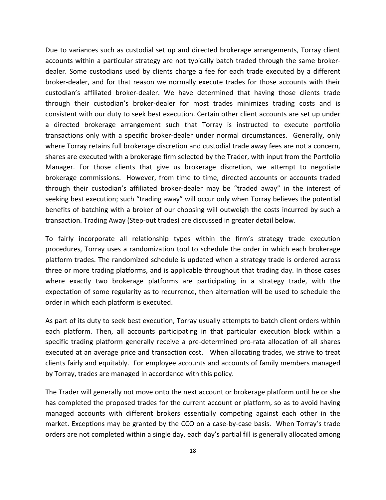Due to variances such as custodial set up and directed brokerage arrangements, Torray client accounts within a particular strategy are not typically batch traded through the same brokerdealer. Some custodians used by clients charge a fee for each trade executed by a different broker-dealer, and for that reason we normally execute trades for those accounts with their custodian's affiliated broker-dealer. We have determined that having those clients trade through their custodian's broker-dealer for most trades minimizes trading costs and is consistent with our duty to seek best execution. Certain other client accounts are set up under a directed brokerage arrangement such that Torray is instructed to execute portfolio transactions only with a specific broker-dealer under normal circumstances. Generally, only where Torray retains full brokerage discretion and custodial trade away fees are not a concern, shares are executed with a brokerage firm selected by the Trader, with input from the Portfolio Manager. For those clients that give us brokerage discretion, we attempt to negotiate brokerage commissions. However, from time to time, directed accounts or accounts traded through their custodian's affiliated broker-dealer may be "traded away" in the interest of seeking best execution; such "trading away" will occur only when Torray believes the potential benefits of batching with a broker of our choosing will outweigh the costs incurred by such a transaction. Trading Away (Step-out trades) are discussed in greater detail below.

To fairly incorporate all relationship types within the firm's strategy trade execution procedures, Torray uses a randomization tool to schedule the order in which each brokerage platform trades. The randomized schedule is updated when a strategy trade is ordered across three or more trading platforms, and is applicable throughout that trading day. In those cases where exactly two brokerage platforms are participating in a strategy trade, with the expectation of some regularity as to recurrence, then alternation will be used to schedule the order in which each platform is executed.

As part of its duty to seek best execution, Torray usually attempts to batch client orders within each platform. Then, all accounts participating in that particular execution block within a specific trading platform generally receive a pre-determined pro-rata allocation of all shares executed at an average price and transaction cost. When allocating trades, we strive to treat clients fairly and equitably. For employee accounts and accounts of family members managed by Torray, trades are managed in accordance with this policy.

The Trader will generally not move onto the next account or brokerage platform until he or she has completed the proposed trades for the current account or platform, so as to avoid having managed accounts with different brokers essentially competing against each other in the market. Exceptions may be granted by the CCO on a case-by-case basis. When Torray's trade orders are not completed within a single day, each day's partial fill is generally allocated among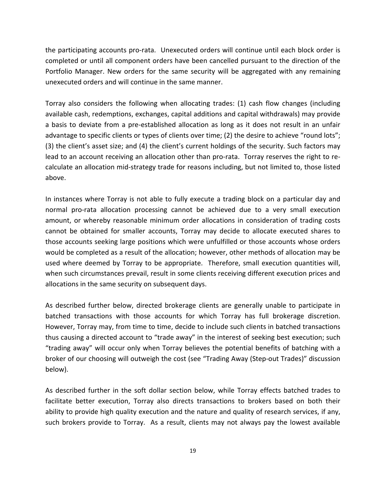the participating accounts pro-rata. Unexecuted orders will continue until each block order is completed or until all component orders have been cancelled pursuant to the direction of the Portfolio Manager. New orders for the same security will be aggregated with any remaining unexecuted orders and will continue in the same manner.

Torray also considers the following when allocating trades: (1) cash flow changes (including available cash, redemptions, exchanges, capital additions and capital withdrawals) may provide a basis to deviate from a pre-established allocation as long as it does not result in an unfair advantage to specific clients or types of clients over time; (2) the desire to achieve "round lots"; (3) the client's asset size; and (4) the client's current holdings of the security. Such factors may lead to an account receiving an allocation other than pro-rata. Torray reserves the right to recalculate an allocation mid-strategy trade for reasons including, but not limited to, those listed above.

In instances where Torray is not able to fully execute a trading block on a particular day and normal pro-rata allocation processing cannot be achieved due to a very small execution amount, or whereby reasonable minimum order allocations in consideration of trading costs cannot be obtained for smaller accounts, Torray may decide to allocate executed shares to those accounts seeking large positions which were unfulfilled or those accounts whose orders would be completed as a result of the allocation; however, other methods of allocation may be used where deemed by Torray to be appropriate. Therefore, small execution quantities will, when such circumstances prevail, result in some clients receiving different execution prices and allocations in the same security on subsequent days.

As described further below, directed brokerage clients are generally unable to participate in batched transactions with those accounts for which Torray has full brokerage discretion. However, Torray may, from time to time, decide to include such clients in batched transactions thus causing a directed account to "trade away" in the interest of seeking best execution; such "trading away" will occur only when Torray believes the potential benefits of batching with a broker of our choosing will outweigh the cost (see "Trading Away (Step-out Trades)" discussion below).

As described further in the soft dollar section below, while Torray effects batched trades to facilitate better execution, Torray also directs transactions to brokers based on both their ability to provide high quality execution and the nature and quality of research services, if any, such brokers provide to Torray. As a result, clients may not always pay the lowest available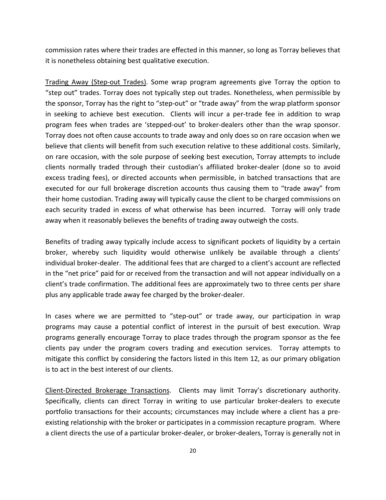commission rates where their trades are effected in this manner, so long as Torray believes that it is nonetheless obtaining best qualitative execution.

Trading Away (Step-out Trades). Some wrap program agreements give Torray the option to "step out" trades. Torray does not typically step out trades. Nonetheless, when permissible by the sponsor, Torray has the right to "step-out" or "trade away" from the wrap platform sponsor in seeking to achieve best execution. Clients will incur a per-trade fee in addition to wrap program fees when trades are 'stepped-out' to broker-dealers other than the wrap sponsor. Torray does not often cause accounts to trade away and only does so on rare occasion when we believe that clients will benefit from such execution relative to these additional costs. Similarly, on rare occasion, with the sole purpose of seeking best execution, Torray attempts to include clients normally traded through their custodian's affiliated broker-dealer (done so to avoid excess trading fees), or directed accounts when permissible, in batched transactions that are executed for our full brokerage discretion accounts thus causing them to "trade away" from their home custodian. Trading away will typically cause the client to be charged commissions on each security traded in excess of what otherwise has been incurred. Torray will only trade away when it reasonably believes the benefits of trading away outweigh the costs.

Benefits of trading away typically include access to significant pockets of liquidity by a certain broker, whereby such liquidity would otherwise unlikely be available through a clients' individual broker-dealer. The additional fees that are charged to a client's account are reflected in the "net price" paid for or received from the transaction and will not appear individually on a client's trade confirmation. The additional fees are approximately two to three cents per share plus any applicable trade away fee charged by the broker-dealer.

In cases where we are permitted to "step-out" or trade away, our participation in wrap programs may cause a potential conflict of interest in the pursuit of best execution. Wrap programs generally encourage Torray to place trades through the program sponsor as the fee clients pay under the program covers trading and execution services. Torray attempts to mitigate this conflict by considering the factors listed in this Item 12, as our primary obligation is to act in the best interest of our clients.

<span id="page-23-0"></span>Client-Directed Brokerage Transactions. Clients may limit Torray's discretionary authority. Specifically, clients can direct Torray in writing to use particular broker-dealers to execute portfolio transactions for their accounts; circumstances may include where a client has a preexisting relationship with the broker or participates in a commission recapture program. Where a client directs the use of a particular broker-dealer, or broker-dealers, Torray is generally not in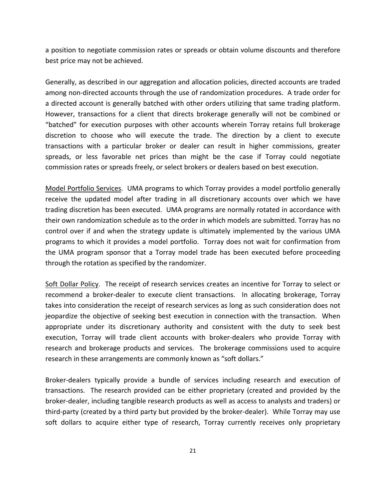a position to negotiate commission rates or spreads or obtain volume discounts and therefore best price may not be achieved.

Generally, as described in our aggregation and allocation policies, directed accounts are traded among non-directed accounts through the use of randomization procedures. A trade order for a directed account is generally batched with other orders utilizing that same trading platform. However, transactions for a client that directs brokerage generally will not be combined or "batched" for execution purposes with other accounts wherein Torray retains full brokerage discretion to choose who will execute the trade. The direction by a client to execute transactions with a particular broker or dealer can result in higher commissions, greater spreads, or less favorable net prices than might be the case if Torray could negotiate commission rates or spreads freely, or select brokers or dealers based on best execution.

Model Portfolio Services. UMA programs to which Torray provides a model portfolio generally receive the updated model after trading in all discretionary accounts over which we have trading discretion has been executed. UMA programs are normally rotated in accordance with their own randomization schedule as to the order in which models are submitted. Torray has no control over if and when the strategy update is ultimately implemented by the various UMA programs to which it provides a model portfolio. Torray does not wait for confirmation from the UMA program sponsor that a Torray model trade has been executed before proceeding through the rotation as specified by the randomizer.

<span id="page-24-0"></span>Soft Dollar Policy. The receipt of research services creates an incentive for Torray to select or recommend a broker-dealer to execute client transactions. In allocating brokerage, Torray takes into consideration the receipt of research services as long as such consideration does not jeopardize the objective of seeking best execution in connection with the transaction. When appropriate under its discretionary authority and consistent with the duty to seek best execution, Torray will trade client accounts with broker-dealers who provide Torray with research and brokerage products and services. The brokerage commissions used to acquire research in these arrangements are commonly known as "soft dollars."

Broker-dealers typically provide a bundle of services including research and execution of transactions. The research provided can be either proprietary (created and provided by the broker-dealer, including tangible research products as well as access to analysts and traders) or third-party (created by a third party but provided by the broker-dealer). While Torray may use soft dollars to acquire either type of research, Torray currently receives only proprietary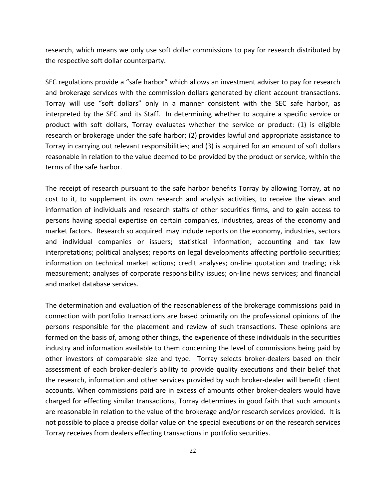research, which means we only use soft dollar commissions to pay for research distributed by the respective soft dollar counterparty.

SEC regulations provide a "safe harbor" which allows an investment adviser to pay for research and brokerage services with the commission dollars generated by client account transactions. Torray will use "soft dollars" only in a manner consistent with the SEC safe harbor, as interpreted by the SEC and its Staff. In determining whether to acquire a specific service or product with soft dollars, Torray evaluates whether the service or product: (1) is eligible research or brokerage under the safe harbor; (2) provides lawful and appropriate assistance to Torray in carrying out relevant responsibilities; and (3) is acquired for an amount of soft dollars reasonable in relation to the value deemed to be provided by the product or service, within the terms of the safe harbor.

The receipt of research pursuant to the safe harbor benefits Torray by allowing Torray, at no cost to it, to supplement its own research and analysis activities, to receive the views and information of individuals and research staffs of other securities firms, and to gain access to persons having special expertise on certain companies, industries, areas of the economy and market factors. Research so acquired may include reports on the economy, industries, sectors and individual companies or issuers; statistical information; accounting and tax law interpretations; political analyses; reports on legal developments affecting portfolio securities; information on technical market actions; credit analyses; on-line quotation and trading; risk measurement; analyses of corporate responsibility issues; on-line news services; and financial and market database services.

The determination and evaluation of the reasonableness of the brokerage commissions paid in connection with portfolio transactions are based primarily on the professional opinions of the persons responsible for the placement and review of such transactions. These opinions are formed on the basis of, among other things, the experience of these individuals in the securities industry and information available to them concerning the level of commissions being paid by other investors of comparable size and type. Torray selects broker-dealers based on their assessment of each broker-dealer's ability to provide quality executions and their belief that the research, information and other services provided by such broker-dealer will benefit client accounts. When commissions paid are in excess of amounts other broker-dealers would have charged for effecting similar transactions, Torray determines in good faith that such amounts are reasonable in relation to the value of the brokerage and/or research services provided. It is not possible to place a precise dollar value on the special executions or on the research services Torray receives from dealers effecting transactions in portfolio securities.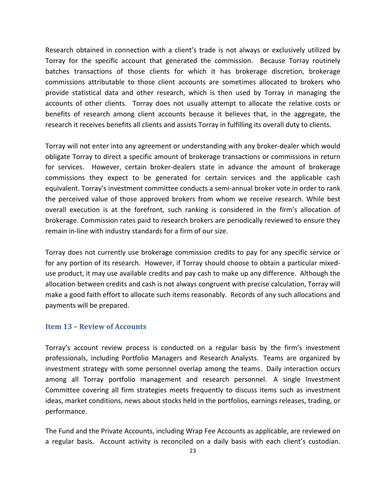Research obtained in connection with a client's trade is not always or exclusively utilized by Torray for the specific account that generated the commission. Because Torray routinely batches transactions of those clients for which it has brokerage discretion, brokerage commissions attributable to those client accounts are sometimes allocated to brokers who provide statistical data and other research, which is then used by Torray in managing the accounts of other clients. Torray does not usually attempt to allocate the relative costs or benefits of research among client accounts because it believes that, in the aggregate, the research it receives benefits all clients and assists Torray in fulfilling its overall duty to clients.

Torray will not enter into any agreement or understanding with any broker-dealer which would obligate Torray to direct a specific amount of brokerage transactions or commissions in return for services. However, certain broker-dealers state in advance the amount of brokerage commissions they expect to be generated for certain services and the applicable cash equivalent. Torray's investment committee conducts a semi-annual broker vote in order to rank the perceived value of those approved brokers from whom we receive research. While best overall execution is at the forefront, such ranking is considered in the firm's allocation of brokerage. Commission rates paid to research brokers are periodically reviewed to ensure they remain in-line with industry standards for a firm of our size.

Torray does not currently use brokerage commission credits to pay for any specific service or for any portion of its research. However, if Torray should choose to obtain a particular mixeduse product, it may use available credits and pay cash to make up any difference. Although the allocation between credits and cash is not always congruent with precise calculation, Torray will make a good faith effort to allocate such items reasonably. Records of any such allocations and payments will be prepared.

#### <span id="page-26-0"></span>**Item 13 – Review of Accounts**

Torray's account review process is conducted on a regular basis by the firm's investment professionals, including Portfolio Managers and Research Analysts. Teams are organized by investment strategy with some personnel overlap among the teams. Daily interaction occurs among all Torray portfolio management and research personnel. A single Investment Committee covering all firm strategies meets frequently to discuss items such as investment ideas, market conditions, news about stocks held in the portfolios, earnings releases, trading, or performance.

The Fund and the Private Accounts, including Wrap Fee Accounts as applicable, are reviewed on a regular basis. Account activity is reconciled on a daily basis with each client's custodian.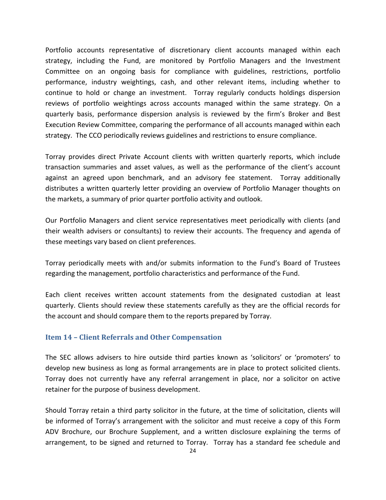Portfolio accounts representative of discretionary client accounts managed within each strategy, including the Fund, are monitored by Portfolio Managers and the Investment Committee on an ongoing basis for compliance with guidelines, restrictions, portfolio performance, industry weightings, cash, and other relevant items, including whether to continue to hold or change an investment. Torray regularly conducts holdings dispersion reviews of portfolio weightings across accounts managed within the same strategy. On a quarterly basis, performance dispersion analysis is reviewed by the firm's Broker and Best Execution Review Committee, comparing the performance of all accounts managed within each strategy. The CCO periodically reviews guidelines and restrictions to ensure compliance.

Torray provides direct Private Account clients with written quarterly reports, which include transaction summaries and asset values, as well as the performance of the client's account against an agreed upon benchmark, and an advisory fee statement. Torray additionally distributes a written quarterly letter providing an overview of Portfolio Manager thoughts on the markets, a summary of prior quarter portfolio activity and outlook.

Our Portfolio Managers and client service representatives meet periodically with clients (and their wealth advisers or consultants) to review their accounts. The frequency and agenda of these meetings vary based on client preferences.

Torray periodically meets with and/or submits information to the Fund's Board of Trustees regarding the management, portfolio characteristics and performance of the Fund.

Each client receives written account statements from the designated custodian at least quarterly. Clients should review these statements carefully as they are the official records for the account and should compare them to the reports prepared by Torray.

#### <span id="page-27-0"></span>**Item 14 – Client Referrals and Other Compensation**

The SEC allows advisers to hire outside third parties known as 'solicitors' or 'promoters' to develop new business as long as formal arrangements are in place to protect solicited clients. Torray does not currently have any referral arrangement in place, nor a solicitor on active retainer for the purpose of business development.

Should Torray retain a third party solicitor in the future, at the time of solicitation, clients will be informed of Torray's arrangement with the solicitor and must receive a copy of this Form ADV Brochure, our Brochure Supplement, and a written disclosure explaining the terms of arrangement, to be signed and returned to Torray. Torray has a standard fee schedule and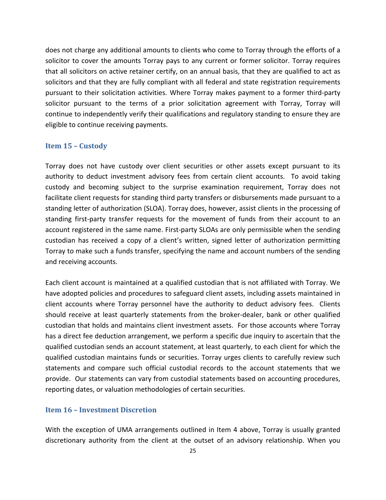does not charge any additional amounts to clients who come to Torray through the efforts of a solicitor to cover the amounts Torray pays to any current or former solicitor. Torray requires that all solicitors on active retainer certify, on an annual basis, that they are qualified to act as solicitors and that they are fully compliant with all federal and state registration requirements pursuant to their solicitation activities. Where Torray makes payment to a former third-party solicitor pursuant to the terms of a prior solicitation agreement with Torray, Torray will continue to independently verify their qualifications and regulatory standing to ensure they are eligible to continue receiving payments.

#### <span id="page-28-0"></span>**Item 15 – Custody**

Torray does not have custody over client securities or other assets except pursuant to its authority to deduct investment advisory fees from certain client accounts. To avoid taking custody and becoming subject to the surprise examination requirement, Torray does not facilitate client requests for standing third party transfers or disbursements made pursuant to a standing letter of authorization (SLOA). Torray does, however, assist clients in the processing of standing first-party transfer requests for the movement of funds from their account to an account registered in the same name. First-party SLOAs are only permissible when the sending custodian has received a copy of a client's written, signed letter of authorization permitting Torray to make such a funds transfer, specifying the name and account numbers of the sending and receiving accounts.

Each client account is maintained at a qualified custodian that is not affiliated with Torray. We have adopted policies and procedures to safeguard client assets, including assets maintained in client accounts where Torray personnel have the authority to deduct advisory fees. Clients should receive at least quarterly statements from the broker-dealer, bank or other qualified custodian that holds and maintains client investment assets. For those accounts where Torray has a direct fee deduction arrangement, we perform a specific due inquiry to ascertain that the qualified custodian sends an account statement, at least quarterly, to each client for which the qualified custodian maintains funds or securities. Torray urges clients to carefully review such statements and compare such official custodial records to the account statements that we provide. Our statements can vary from custodial statements based on accounting procedures, reporting dates, or valuation methodologies of certain securities.

#### <span id="page-28-1"></span>**Item 16 – Investment Discretion**

With the exception of UMA arrangements outlined in Item 4 above, Torray is usually granted discretionary authority from the client at the outset of an advisory relationship. When you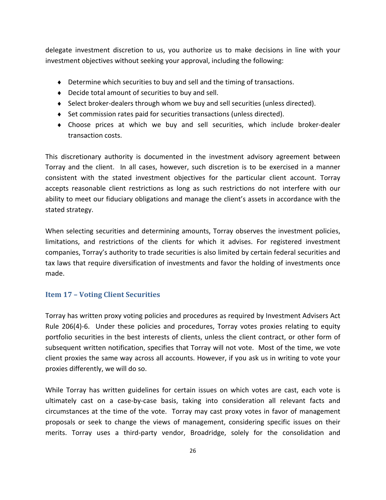delegate investment discretion to us, you authorize us to make decisions in line with your investment objectives without seeking your approval, including the following:

- ♦ Determine which securities to buy and sell and the timing of transactions.
- ♦ Decide total amount of securities to buy and sell.
- ♦ Select broker-dealers through whom we buy and sell securities (unless directed).
- ♦ Set commission rates paid for securities transactions (unless directed).
- ♦ Choose prices at which we buy and sell securities, which include broker-dealer transaction costs.

This discretionary authority is documented in the investment advisory agreement between Torray and the client. In all cases, however, such discretion is to be exercised in a manner consistent with the stated investment objectives for the particular client account. Torray accepts reasonable client restrictions as long as such restrictions do not interfere with our ability to meet our fiduciary obligations and manage the client's assets in accordance with the stated strategy.

When selecting securities and determining amounts, Torray observes the investment policies, limitations, and restrictions of the clients for which it advises. For registered investment companies, Torray's authority to trade securities is also limited by certain federal securities and tax laws that require diversification of investments and favor the holding of investments once made.

#### <span id="page-29-0"></span>**Item 17 – Voting Client Securities**

Torray has written proxy voting policies and procedures as required by Investment Advisers Act Rule 206(4)-6. Under these policies and procedures, Torray votes proxies relating to equity portfolio securities in the best interests of clients, unless the client contract, or other form of subsequent written notification, specifies that Torray will not vote. Most of the time, we vote client proxies the same way across all accounts. However, if you ask us in writing to vote your proxies differently, we will do so.

While Torray has written guidelines for certain issues on which votes are cast, each vote is ultimately cast on a case-by-case basis, taking into consideration all relevant facts and circumstances at the time of the vote. Torray may cast proxy votes in favor of management proposals or seek to change the views of management, considering specific issues on their merits. Torray uses a third-party vendor, Broadridge, solely for the consolidation and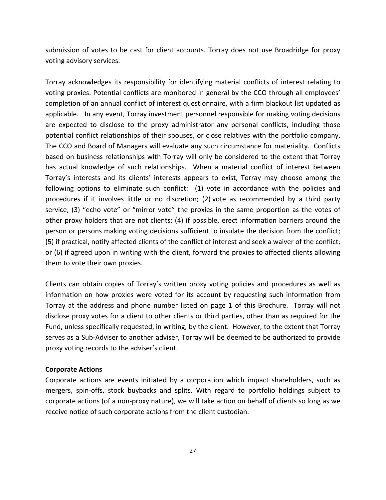submission of votes to be cast for client accounts. Torray does not use Broadridge for proxy voting advisory services.

Torray acknowledges its responsibility for identifying material conflicts of interest relating to voting proxies. Potential conflicts are monitored in general by the CCO through all employees' completion of an annual conflict of interest questionnaire, with a firm blackout list updated as applicable. In any event, Torray investment personnel responsible for making voting decisions are expected to disclose to the proxy administrator any personal conflicts, including those potential conflict relationships of their spouses, or close relatives with the portfolio company. The CCO and Board of Managers will evaluate any such circumstance for materiality. Conflicts based on business relationships with Torray will only be considered to the extent that Torray has actual knowledge of such relationships. When a material conflict of interest between Torray's interests and its clients' interests appears to exist, Torray may choose among the following options to eliminate such conflict: (1) vote in accordance with the policies and procedures if it involves little or no discretion; (2) vote as recommended by a third party service; (3) "echo vote" or "mirror vote" the proxies in the same proportion as the votes of other proxy holders that are not clients; (4) if possible, erect information barriers around the person or persons making voting decisions sufficient to insulate the decision from the conflict; (5) if practical, notify affected clients of the conflict of interest and seek a waiver of the conflict; or (6) if agreed upon in writing with the client, forward the proxies to affected clients allowing them to vote their own proxies.

Clients can obtain copies of Torray's written proxy voting policies and procedures as well as information on how proxies were voted for its account by requesting such information from Torray at the address and phone number listed on page 1 of this Brochure. Torray will not disclose proxy votes for a client to other clients or third parties, other than as required for the Fund, unless specifically requested, in writing, by the client. However, to the extent that Torray serves as a Sub-Adviser to another adviser, Torray will be deemed to be authorized to provide proxy voting records to the adviser's client.

#### **Corporate Actions**

Corporate actions are events initiated by a corporation which impact shareholders, such as mergers, spin-offs, stock buybacks and splits. With regard to portfolio holdings subject to corporate actions (of a non-proxy nature), we will take action on behalf of clients so long as we receive notice of such corporate actions from the client custodian.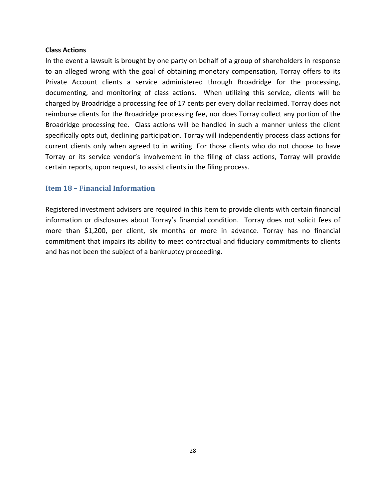#### **Class Actions**

In the event a lawsuit is brought by one party on behalf of a group of shareholders in response to an alleged wrong with the goal of obtaining monetary compensation, Torray offers to its Private Account clients a service administered through Broadridge for the processing, documenting, and monitoring of class actions. When utilizing this service, clients will be charged by Broadridge a processing fee of 17 cents per every dollar reclaimed. Torray does not reimburse clients for the Broadridge processing fee, nor does Torray collect any portion of the Broadridge processing fee. Class actions will be handled in such a manner unless the client specifically opts out, declining participation. Torray will independently process class actions for current clients only when agreed to in writing. For those clients who do not choose to have Torray or its service vendor's involvement in the filing of class actions, Torray will provide certain reports, upon request, to assist clients in the filing process.

#### <span id="page-31-0"></span>**Item 18 – Financial Information**

Registered investment advisers are required in this Item to provide clients with certain financial information or disclosures about Torray's financial condition. Torray does not solicit fees of more than \$1,200, per client, six months or more in advance. Torray has no financial commitment that impairs its ability to meet contractual and fiduciary commitments to clients and has not been the subject of a bankruptcy proceeding.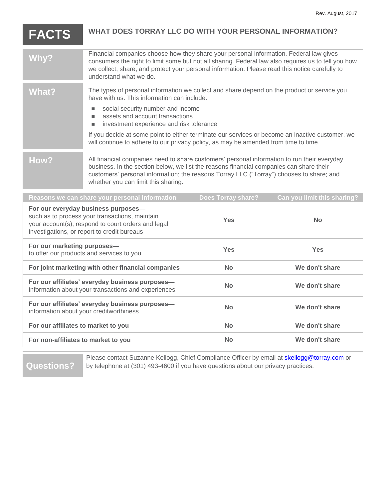| <b>FACTS</b> | WHAT DOES TORRAY LLC DO WITH YOUR PERSONAL INFORMATION?                                                                                                                                                                                                                                                                   |  |
|--------------|---------------------------------------------------------------------------------------------------------------------------------------------------------------------------------------------------------------------------------------------------------------------------------------------------------------------------|--|
| Why?         | Financial companies choose how they share your personal information. Federal law gives<br>consumers the right to limit some but not all sharing. Federal law also requires us to tell you how<br>we collect, share, and protect your personal information. Please read this notice carefully to<br>understand what we do. |  |
| What?        | The types of personal information we collect and share depend on the product or service you<br>have with us. This information can include:<br>social security number and income<br>assets and account transactions<br>investment experience and risk tolerance<br>п                                                       |  |
|              | If you decide at some point to either terminate our services or become an inactive customer, we<br>will continue to adhere to our privacy policy, as may be amended from time to time.                                                                                                                                    |  |
| How?         | All financial companies need to share customers' personal information to run their everyday<br>business. In the section below, we list the reasons financial companies can share their<br>customers' personal information; the reasons Torray LLC ("Torray") chooses to share; and<br>whether you can limit this sharing. |  |
|              | Can you limit this sharing?<br>Reasons we can share your personal information<br>Does Torray share?                                                                                                                                                                                                                       |  |

| Reasons we can share your personal information                                                                                                                                             | Does Torray share? | Can you limit this sharing? |
|--------------------------------------------------------------------------------------------------------------------------------------------------------------------------------------------|--------------------|-----------------------------|
| For our everyday business purposes-<br>such as to process your transactions, maintain<br>your account(s), respond to court orders and legal<br>investigations, or report to credit bureaus | <b>Yes</b>         | <b>No</b>                   |
| For our marketing purposes-<br>to offer our products and services to you                                                                                                                   | <b>Yes</b>         | <b>Yes</b>                  |
| For joint marketing with other financial companies                                                                                                                                         | <b>No</b>          | We don't share              |
| For our affiliates' everyday business purposes-<br>information about your transactions and experiences                                                                                     | <b>No</b>          | We don't share              |
| For our affiliates' everyday business purposes-<br>information about your creditworthiness                                                                                                 | <b>No</b>          | We don't share              |
| For our affiliates to market to you                                                                                                                                                        | <b>No</b>          | We don't share              |
| For non-affiliates to market to you                                                                                                                                                        | <b>No</b>          | We don't share              |
|                                                                                                                                                                                            |                    |                             |

**Questions?**

Please contact Suzanne Kellogg, Chief Compliance Officer by email at **skellogg@torray.com** or by telephone at (301) 493-4600 if you have questions about our privacy practices.